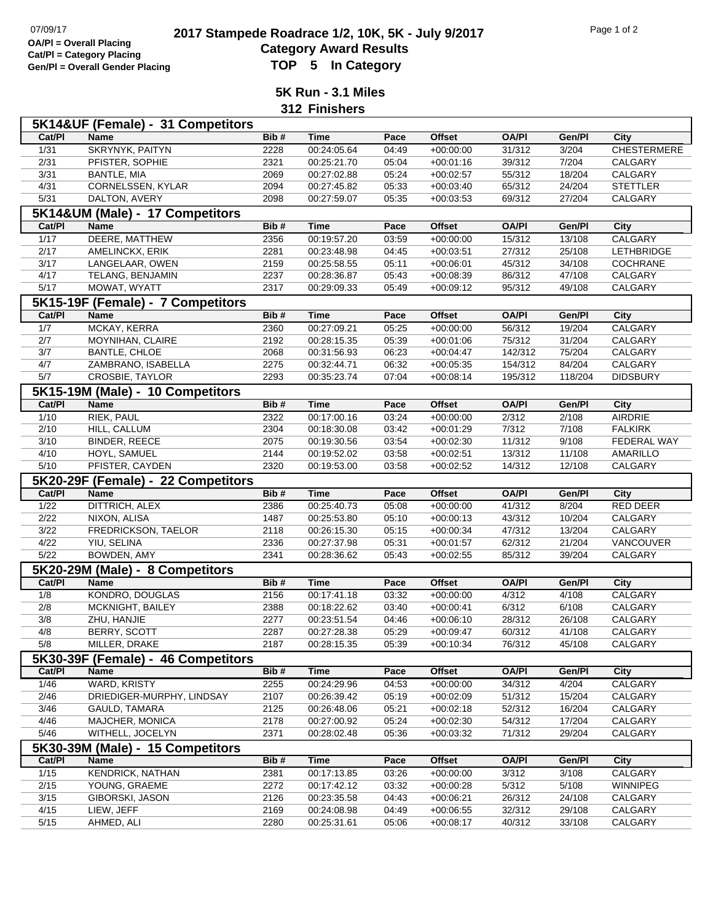## **2017 Stampede Roadrace 1/2, 10K, 5K - July 9/2017** Page 1 of 2<br> **Cotomory Award Boaulto**<br>
Cotomory Award Boaulto **Category Award Results Gen/Pl = Overall Gender Placing TOP 5 In Category**

**5K Run - 3.1 Miles 312 Finishers**

|                | 5K14&UF (Female) - 31 Competitors          |              |                            |                |                            |                  |                  |                    |
|----------------|--------------------------------------------|--------------|----------------------------|----------------|----------------------------|------------------|------------------|--------------------|
| Cat/PI         | Name                                       | Bib#         | <b>Time</b>                | Pace           | <b>Offset</b>              | <b>OA/PI</b>     | Gen/Pl           | City               |
| $\frac{1}{31}$ | <b>SKRYNYK, PAITYN</b>                     | 2228         | 00:24:05.64                | 04:49          | $+00:00:00$                | 31/312           | 3/204            | <b>CHESTERMERE</b> |
| 2/31           | PFISTER, SOPHIE                            | 2321         | 00:25:21.70                | 05:04          | $+00:01:16$                | 39/312           | 7/204            | CALGARY            |
| $\frac{3}{31}$ | <b>BANTLE, MIA</b>                         | 2069         | 00:27:02.88                | 05:24          | $+00:02:57$                | 55/312           | 18/204           | <b>CALGARY</b>     |
| 4/31           | CORNELSSEN, KYLAR                          | 2094         | 00:27:45.82                | 05:33          | $+00:03:40$                | 65/312           | 24/204           | <b>STETTLER</b>    |
| 5/31           | DALTON, AVERY                              | 2098         | 00:27:59.07                | 05:35          | $+00:03:53$                | 69/312           | 27/204           | CALGARY            |
|                | 5K14&UM (Male) - 17 Competitors            |              |                            |                |                            |                  |                  |                    |
| Cat/PI         | Name                                       | Bib#         | <b>Time</b>                | Pace           | <b>Offset</b>              | <b>OA/PI</b>     | Gen/Pl           | City               |
| 1/17           | DEERE, MATTHEW                             | 2356         | 00:19:57.20                | 03:59          | $+00:00:00$                | 15/312           | 13/108           | CALGARY            |
| 2/17           | AMELINCKX, ERIK                            | 2281         | 00:23:48.98                | 04:45          | $+00:03:51$                | 27/312           | 25/108           | <b>LETHBRIDGE</b>  |
| 3/17           | LANGELAAR, OWEN<br>TELANG, BENJAMIN        | 2159         | 00:25:58.55<br>00:28:36.87 | 05:11<br>05:43 | $+00:06:01$                | 45/312           | 34/108           | COCHRANE           |
| 4/17<br>5/17   | MOWAT, WYATT                               | 2237<br>2317 | 00:29:09.33                | 05:49          | $+00:08:39$<br>$+00:09:12$ | 86/312<br>95/312 | 47/108<br>49/108 | CALGARY<br>CALGARY |
|                | 5K15-19F (Female) - 7 Competitors          |              |                            |                |                            |                  |                  |                    |
| Cat/PI         | Name                                       | Bib#         | <b>Time</b>                | Pace           | <b>Offset</b>              | <b>OA/PI</b>     | Gen/PI           | <b>City</b>        |
| 1/7            | MCKAY, KERRA                               | 2360         | 00:27:09.21                | 05:25          | $+00:00:00$                | 56/312           | 19/204           | CALGARY            |
| 2/7            | MOYNIHAN, CLAIRE                           | 2192         | 00:28:15.35                | 05:39          | $+00:01:06$                | 75/312           | 31/204           | CALGARY            |
| 3/7            | <b>BANTLE, CHLOE</b>                       | 2068         | 00:31:56.93                | 06:23          | $+00:04:47$                | 142/312          | 75/204           | CALGARY            |
| 4/7            | ZAMBRANO, ISABELLA                         | 2275         | 00:32:44.71                | 06:32          | $+00:05:35$                | 154/312          | 84/204           | CALGARY            |
| 5/7            | CROSBIE, TAYLOR                            | 2293         | 00:35:23.74                | 07:04          | $+00:08:14$                | 195/312          | 118/204          | <b>DIDSBURY</b>    |
|                | 5K15-19M (Male) - 10 Competitors           |              |                            |                |                            |                  |                  |                    |
| Cat/PI         | <b>Name</b>                                | Bib#         | <b>Time</b>                | Pace           | <b>Offset</b>              | <b>OA/PI</b>     | Gen/Pl           | City               |
| $\frac{1}{10}$ | <b>RIEK, PAUL</b>                          | 2322         | 00:17:00.16                | 03:24          | $+00:00:00$                | 2/312            | 2/108            | AIRDRIE            |
| 2/10           | HILL, CALLUM                               | 2304         | 00:18:30.08                | 03:42          | $+00:01:29$                | 7/312            | 7/108            | <b>FALKIRK</b>     |
| 3/10           | <b>BINDER, REECE</b>                       | 2075         | 00:19:30.56                | 03:54          | $+00:02:30$                | 11/312           | 9/108            | FEDERAL WAY        |
| 4/10           | HOYL, SAMUEL                               | 2144         | 00:19:52.02                | 03:58          | $+00:02:51$                | 13/312           | 11/108           | AMARILLO           |
| 5/10           | PFISTER, CAYDEN                            | 2320         | 00:19:53.00                | 03:58          | $+00:02:52$                | 14/312           | 12/108           | CALGARY            |
|                | 5K20-29F (Female) - 22 Competitors         |              |                            |                |                            |                  |                  |                    |
| Cat/PI         | Name                                       | Bib#         | <b>Time</b>                | Pace           | <b>Offset</b>              | <b>OA/PI</b>     | Gen/Pl           | City               |
| 1/22           | DITTRICH, ALEX                             | 2386         | 00:25:40.73                | 05:08          | $+00:00:00$                | 41/312           | 8/204            | RED DEER           |
| 2/22           |                                            |              |                            | 05:10          | $+00:00:13$                | 43/312           | 10/204           |                    |
|                | NIXON, ALISA                               | 1487         | 00:25:53.80                |                |                            |                  |                  | CALGARY            |
| 3/22           | FREDRICKSON, TAELOR                        | 2118         | 00:26:15.30                | 05:15          | $+00:00:34$                | 47/312           | 13/204           | CALGARY            |
| 4/22           | YIU, SELINA                                | 2336         | 00:27:37.98                | 05:31          | $+00:01:57$                | 62/312           | 21/204           | VANCOUVER          |
| 5/22           | BOWDEN, AMY                                | 2341         | 00:28:36.62                | 05:43          | $+00:02:55$                | 85/312           | 39/204           | CALGARY            |
|                | 5K20-29M (Male) - 8 Competitors            |              |                            |                |                            |                  |                  |                    |
| Cat/PI         | Name                                       | Bib#         | <b>Time</b>                | Pace           | <b>Offset</b>              | <b>OA/PI</b>     | Gen/Pl           | City               |
| 1/8            | KONDRO, DOUGLAS                            | 2156         | 00:17:41.18                | 03:32          | $+00:00:00$                | 4/312            | 4/108            | CALGARY            |
| 2/8            | MCKNIGHT, BAILEY                           | 2388         | 00:18:22.62                | 03:40          | $+00:00:41$                | 6/312            | 6/108            | CALGARY            |
| 3/8            | ZHU, HANJIE                                | 2277         | 00:23:51.54                | 04:46          | $+00:06:10$                | 28/312           | 26/108           | CALGARY            |
| 4/8<br>5/8     | <b>BERRY, SCOTT</b>                        | 2287<br>2187 | 00:27:28.38<br>00:28:15.35 | 05:29<br>05:39 | $+00:09:47$<br>$+00:10:34$ | 60/312<br>76/312 | 41/108<br>45/108 | CALGARY            |
|                | MILLER, DRAKE                              |              |                            |                |                            |                  |                  | CALGARY            |
|                | 5K30-39F (Female) - 46 Competitors         |              |                            |                |                            |                  |                  |                    |
| Cat/PI         | Name                                       | Bib#         | <b>Time</b>                | Pace           | <b>Offset</b>              | <b>OA/PI</b>     | Gen/Pl           | City               |
| 1/46           | WARD, KRISTY                               | 2255         | 00:24:29.96<br>00:26:39.42 | 04:53<br>05:19 | $+00:00:00$                | 34/312           | 4/204            | CALGARY            |
| 2/46<br>3/46   | DRIEDIGER-MURPHY, LINDSAY<br>GAULD, TAMARA | 2107<br>2125 | 00:26:48.06                | 05:21          | $+00:02:09$<br>$+00:02:18$ | 51/312<br>52/312 | 15/204<br>16/204 | CALGARY<br>CALGARY |
| 4/46           | MAJCHER, MONICA                            | 2178         | 00:27:00.92                | 05:24          | $+00:02:30$                | 54/312           | 17/204           | CALGARY            |
| $\frac{5}{46}$ | WITHELL, JOCELYN                           | 2371         | 00:28:02.48                | 05:36          | $+00:03:32$                | 71/312           | 29/204           | CALGARY            |
|                | 5K30-39M (Male) - 15 Competitors           |              |                            |                |                            |                  |                  |                    |
| Cat/PI         | Name                                       | Bib#         | <b>Time</b>                | Pace           | Offset                     | <b>OA/PI</b>     | Gen/Pl           | City               |
| 1/15           | <b>KENDRICK, NATHAN</b>                    | 2381         | 00:17:13.85                | 03:26          | $+00:00:00$                | 3/312            | 3/108            | CALGARY            |
| 2/15           | YOUNG, GRAEME                              | 2272         | 00:17:42.12                | 03:32          | $+00:00:28$                | 5/312            | 5/108            | <b>WINNIPEG</b>    |
| $\frac{3}{15}$ | GIBORSKI, JASON                            | 2126         | 00:23:35.58                | 04:43          | $+00:06:21$                | 26/312           | 24/108           | CALGARY            |
| 4/15<br>5/15   | LIEW, JEFF<br>AHMED, ALI                   | 2169<br>2280 | 00:24:08.98<br>00:25:31.61 | 04:49<br>05:06 | $+00:06:55$<br>$+00:08:17$ | 32/312<br>40/312 | 29/108<br>33/108 | CALGARY<br>CALGARY |